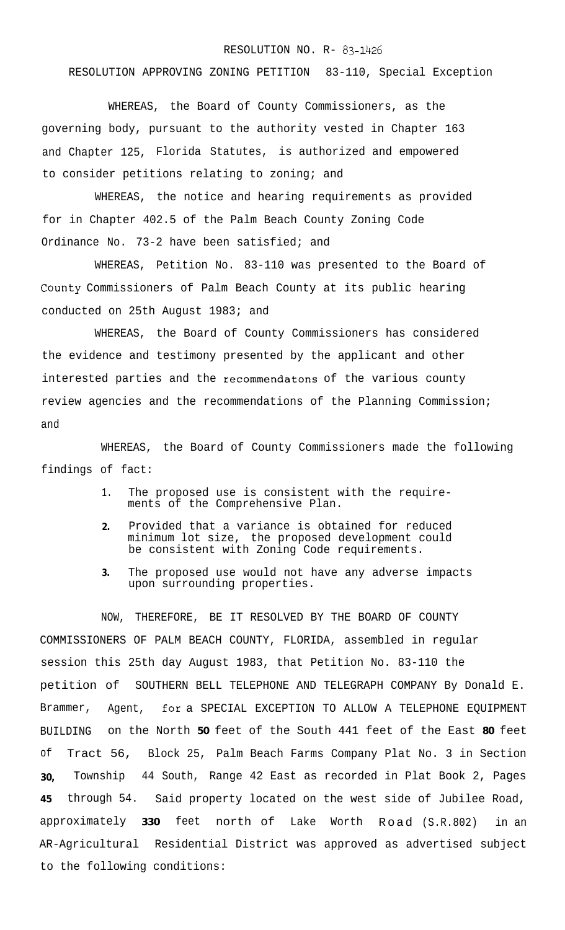## RESOLUTION NO. R- **83-1426**

## RESOLUTION APPROVING ZONING PETITION 83-110, Special Exception

WHEREAS, the Board of County Commissioners, as the governing body, pursuant to the authority vested in Chapter 163 and Chapter 125, Florida Statutes, is authorized and empowered to consider petitions relating to zoning; and

WHEREAS, the notice and hearing requirements as provided for in Chapter 402.5 of the Palm Beach County Zoning Code Ordinance No. 73-2 have been satisfied; and

WHEREAS, Petition No. 83-110 was presented to the Board of **County** Commissioners of Palm Beach County at its public hearing conducted on 25th August 1983; and

WHEREAS, the Board of County Commissioners has considered the evidence and testimony presented by the applicant and other interested parties and the recommendatons of the various county review agencies and the recommendations of the Planning Commission; and

WHEREAS, the Board of County Commissioners made the following findings of fact:

- 1. The proposed use is consistent with the requirements of the Comprehensive Plan.
- **2.** Provided that a variance is obtained for reduced minimum lot size, the proposed development could be consistent with Zoning Code requirements.
- **3.** The proposed use would not have any adverse impacts upon surrounding properties.

NOW, THEREFORE, BE IT RESOLVED BY THE BOARD OF COUNTY COMMISSIONERS OF PALM BEACH COUNTY, FLORIDA, assembled in regular session this 25th day August 1983, that Petition No. 83-110 the petition of SOUTHERN BELL TELEPHONE AND TELEGRAPH COMPANY By Donald E. Brammer, Agent, **for** a SPECIAL EXCEPTION TO ALLOW A TELEPHONE EQUIPMENT BUILDING on the North **50** feet of the South 441 feet of the East **80** feet of Tract 56, Block 25, Palm Beach Farms Company Plat No. 3 in Section **30,** Township 44 South, Range 42 East as recorded in Plat Book 2, Pages **45** through 54. Said property located on the west side of Jubilee Road, approximately **330** feet north of Lake Worth Road (S.R.802) in an AR-Agricultural Residential District was approved as advertised subject to the following conditions: